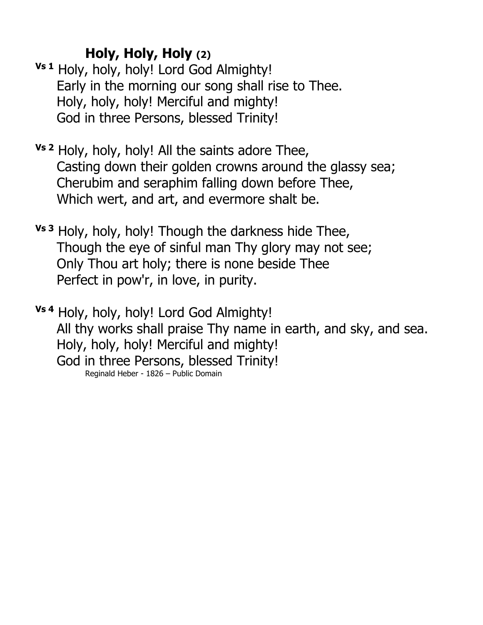## **Holy, Holy, Holy (2)**

- **Vs 1** Holy, holy, holy! Lord God Almighty! Early in the morning our song shall rise to Thee. Holy, holy, holy! Merciful and mighty! God in three Persons, blessed Trinity!
- **Vs 2** Holy, holy, holy! All the saints adore Thee, Casting down their golden crowns around the glassy sea; Cherubim and seraphim falling down before Thee, Which wert, and art, and evermore shalt be.
- **Vs 3** Holy, holy, holy! Though the darkness hide Thee, Though the eye of sinful man Thy glory may not see; Only Thou art holy; there is none beside Thee Perfect in pow'r, in love, in purity.
- **Vs 4** Holy, holy, holy! Lord God Almighty! All thy works shall praise Thy name in earth, and sky, and sea. Holy, holy, holy! Merciful and mighty! God in three Persons, blessed Trinity! Reginald Heber - 1826 – Public Domain